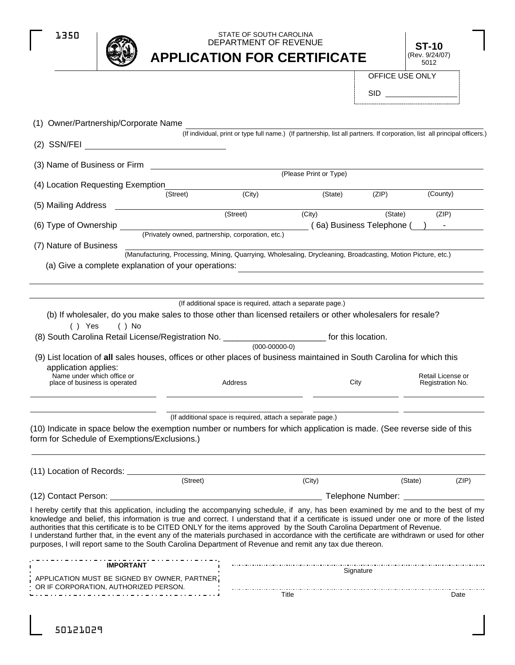

# **APPLICATION FOR CERTIFICATE** STATE OF SOUTH CAROLINA DEPARTMENT OF REVENUE

**ST-10** (Rev. 9/24/07) 5012

OFFICE USE ONLY

SID

| (1) Owner/Partnership/Corporate Name                                                                                                                                                                                                                                   |                                                                                           |                                                                                                                             |                     |                                       |
|------------------------------------------------------------------------------------------------------------------------------------------------------------------------------------------------------------------------------------------------------------------------|-------------------------------------------------------------------------------------------|-----------------------------------------------------------------------------------------------------------------------------|---------------------|---------------------------------------|
|                                                                                                                                                                                                                                                                        |                                                                                           | (If individual, print or type full name.) (If partnership, list all partners. If corporation, list all principal officers.) |                     |                                       |
|                                                                                                                                                                                                                                                                        |                                                                                           |                                                                                                                             |                     |                                       |
| (3) Name of Business or Firm                                                                                                                                                                                                                                           | the control of the control of the control of the control of the control of the control of |                                                                                                                             |                     |                                       |
|                                                                                                                                                                                                                                                                        |                                                                                           | (Please Print or Type)                                                                                                      |                     |                                       |
| (4) Location Requesting Exemption                                                                                                                                                                                                                                      | (Street)                                                                                  | (City)<br>(State)                                                                                                           | (ZIP)               | (County)                              |
| (5) Mailing Address                                                                                                                                                                                                                                                    |                                                                                           |                                                                                                                             |                     |                                       |
|                                                                                                                                                                                                                                                                        | $\sqrt{\text{Street}}$                                                                    | (City)                                                                                                                      | (State)             | (ZIP)                                 |
| (6) Type of Ownership ____                                                                                                                                                                                                                                             |                                                                                           | (Frivately owned, partnership, corporation, etc.) (6a) Business Telephone (                                                 |                     |                                       |
| (7) Nature of Business                                                                                                                                                                                                                                                 |                                                                                           |                                                                                                                             |                     |                                       |
|                                                                                                                                                                                                                                                                        |                                                                                           | (Manufacturing, Processing, Mining, Quarrying, Wholesaling, Drycleaning, Broadcasting, Motion Picture, etc.)                |                     |                                       |
| (a) Give a complete explanation of your operations:                                                                                                                                                                                                                    |                                                                                           |                                                                                                                             |                     |                                       |
|                                                                                                                                                                                                                                                                        |                                                                                           |                                                                                                                             |                     |                                       |
|                                                                                                                                                                                                                                                                        |                                                                                           |                                                                                                                             |                     |                                       |
|                                                                                                                                                                                                                                                                        |                                                                                           | (If additional space is required, attach a separate page.)                                                                  |                     |                                       |
| (b) If wholesaler, do you make sales to those other than licensed retailers or other wholesalers for resale?                                                                                                                                                           |                                                                                           |                                                                                                                             |                     |                                       |
| $( )$ Yes<br>( ) No<br>(8) South Carolina Retail License/Registration No. __________________________ for this location.                                                                                                                                                |                                                                                           |                                                                                                                             |                     |                                       |
|                                                                                                                                                                                                                                                                        |                                                                                           | $(000-00000-0)$                                                                                                             |                     |                                       |
| (9) List location of all sales houses, offices or other places of business maintained in South Carolina for which this                                                                                                                                                 |                                                                                           |                                                                                                                             |                     |                                       |
| application applies:                                                                                                                                                                                                                                                   |                                                                                           |                                                                                                                             |                     |                                       |
| Name under which office or<br>place of business is operated                                                                                                                                                                                                            | Address                                                                                   |                                                                                                                             | City                | Retail License or<br>Registration No. |
|                                                                                                                                                                                                                                                                        |                                                                                           |                                                                                                                             |                     |                                       |
|                                                                                                                                                                                                                                                                        |                                                                                           |                                                                                                                             |                     |                                       |
|                                                                                                                                                                                                                                                                        |                                                                                           | (If additional space is required, attach a separate page.)                                                                  |                     |                                       |
| (10) Indicate in space below the exemption number or numbers for which application is made. (See reverse side of this                                                                                                                                                  |                                                                                           |                                                                                                                             |                     |                                       |
| form for Schedule of Exemptions/Exclusions.)                                                                                                                                                                                                                           |                                                                                           |                                                                                                                             |                     |                                       |
|                                                                                                                                                                                                                                                                        |                                                                                           |                                                                                                                             |                     |                                       |
| (11) Location of Records: _____                                                                                                                                                                                                                                        |                                                                                           |                                                                                                                             |                     |                                       |
|                                                                                                                                                                                                                                                                        | (Street)                                                                                  | (City)                                                                                                                      | (State)             | (ZIP)                                 |
| (12) Contact Person:                                                                                                                                                                                                                                                   |                                                                                           |                                                                                                                             | Telephone Number: _ |                                       |
| I hereby certify that this application, including the accompanying schedule, if any, has been examined by me and to the best of my                                                                                                                                     |                                                                                           |                                                                                                                             |                     |                                       |
| knowledge and belief, this information is true and correct. I understand that if a certificate is issued under one or more of the listed                                                                                                                               |                                                                                           |                                                                                                                             |                     |                                       |
| authorities that this certificate is to be CITED ONLY for the items approved by the South Carolina Department of Revenue.<br>I understand further that, in the event any of the materials purchased in accordance with the certificate are withdrawn or used for other |                                                                                           |                                                                                                                             |                     |                                       |
| purposes, I will report same to the South Carolina Department of Revenue and remit any tax due thereon.                                                                                                                                                                |                                                                                           |                                                                                                                             |                     |                                       |
|                                                                                                                                                                                                                                                                        |                                                                                           |                                                                                                                             |                     |                                       |
|                                                                                                                                                                                                                                                                        |                                                                                           |                                                                                                                             |                     |                                       |
| <b>IMPORTANT</b>                                                                                                                                                                                                                                                       |                                                                                           |                                                                                                                             | Signature           |                                       |
| APPLICATION MUST BE SIGNED BY OWNER, PARTNER<br>OR IF CORPORATION, AUTHORIZED PERSON.                                                                                                                                                                                  |                                                                                           |                                                                                                                             |                     |                                       |